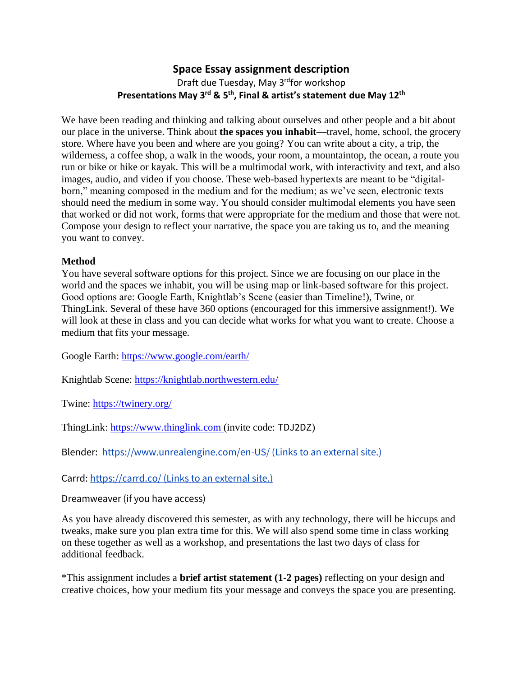## **Space Essay assignment description** Draft due Tuesday, May 3<sup>rd</sup>for workshop **Presentations May 3<sup>rd</sup> & 5<sup>th</sup>, Final & artist's statement due May 12<sup>th</sup>**

We have been reading and thinking and talking about ourselves and other people and a bit about our place in the universe. Think about **the spaces you inhabit**—travel, home, school, the grocery store. Where have you been and where are you going? You can write about a city, a trip, the wilderness, a coffee shop, a walk in the woods, your room, a mountaintop, the ocean, a route you run or bike or hike or kayak. This will be a multimodal work, with interactivity and text, and also images, audio, and video if you choose. These web-based hypertexts are meant to be "digitalborn," meaning composed in the medium and for the medium; as we've seen, electronic texts should need the medium in some way. You should consider multimodal elements you have seen that worked or did not work, forms that were appropriate for the medium and those that were not. Compose your design to reflect your narrative, the space you are taking us to, and the meaning you want to convey.

## **Method**

You have several software options for this project. Since we are focusing on our place in the world and the spaces we inhabit, you will be using map or link-based software for this project. Good options are: Google Earth, Knightlab's Scene (easier than Timeline!), Twine, or ThingLink. Several of these have 360 options (encouraged for this immersive assignment!). We will look at these in class and you can decide what works for what you want to create. Choose a medium that fits your message.

Google Earth:<https://www.google.com/earth/>

Knightlab Scene:<https://knightlab.northwestern.edu/>

Twine:<https://twinery.org/>

ThingLink: [https://www.thinglink.com](https://www.thinglink.com/) (invite code: TDJ2DZ)

Blender: <https://www.unrealengine.com/en-US/> (Links to an external site.)

Carrd: <https://carrd.co/> (Links to an external site.)

Dreamweaver (if you have access)

As you have already discovered this semester, as with any technology, there will be hiccups and tweaks, make sure you plan extra time for this. We will also spend some time in class working on these together as well as a workshop, and presentations the last two days of class for additional feedback.

\*This assignment includes a **brief artist statement (1-2 pages)** reflecting on your design and creative choices, how your medium fits your message and conveys the space you are presenting.